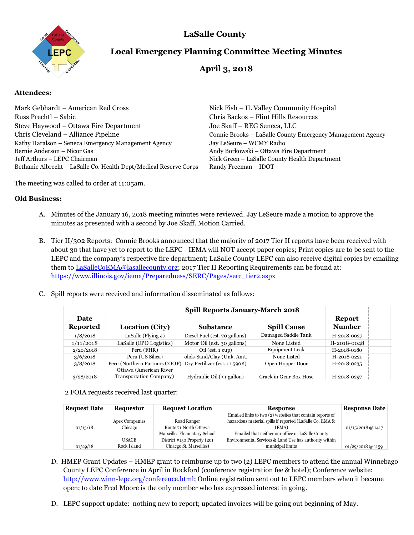

## **LaSalle County**

# **Local Emergency Planning Committee Meeting Minutes**

## **April 3, 2018**

#### **Attendees:**

Mark Gebhardt – American Red Cross Nick Fish – IL Valley Community Hospital Russ Prechtl – Sabic Chris Backos – Flint Hills Resources Steve Haywood – Ottawa Fire Department Joe Skaff – REG Seneca, LLC Chris Cleveland – Alliance Pipeline Connie Brooks – LaSalle County Emergency Management Agency Kathy Haralson – Seneca Emergency Management Agency Jay LeSeure – WCMY Radio Bernie Anderson – Nicor Gas Andy Borkowski – Ottawa Fire Department Jeff Arthurs – LEPC Chairman Nick Green – LaSalle County Health Department Bethanie Albrecht – LaSalle Co. Health Dept/Medical Reserve Corps Randy Freeman – IDOT

The meeting was called to order at 11:05am.

#### **Old Business:**

- A. Minutes of the January 16, 2018 meeting minutes were reviewed. Jay LeSeure made a motion to approve the minutes as presented with a second by Joe Skaff. Motion Carried.
- B. Tier II/302 Reports: Connie Brooks announced that the majority of 2017 Tier II reports have been received with about 30 that have yet to report to the LEPC - IEMA will NOT accept paper copies; Print copies are to be sent to the LEPC and the company's respective fire department; LaSalle County LEPC can also receive digital copies by emailing them to [LaSalleCoEMA@lasallecounty.org;](mailto:LaSalleCoEMA@lasallecounty.org) 2017 Tier II Reporting Requirements can be found at: [https://www.illinois.gov/iema/Preparedness/SERC/Pages/serc\\_tier2.aspx](https://www.illinois.gov/iema/Preparedness/SERC/Pages/serc_tier2.aspx)
- C. Spill reports were received and information disseminated as follows:

|                                |                               | <b>Spill Reports January-March 2018</b> |                        |                         |  |
|--------------------------------|-------------------------------|-----------------------------------------|------------------------|-------------------------|--|
| <b>Date</b><br><b>Reported</b> | <b>Location (City)</b>        | <b>Substance</b>                        | <b>Spill Cause</b>     | Report<br><b>Number</b> |  |
| 1/8/2018                       | LaSalle (Flying $J$ )         | Diesel Fuel (est. 70 gallons)           | Damaged Saddle Tank    | H-2018-0027             |  |
| 1/11/2018                      | LaSalle (EPO Logistics)       | Motor Oil (est. 30 gallons)             | None Listed            | H-2018-0048             |  |
| 2/20/2018                      | Peru (FHR)                    | $Oil$ (est. 1 cup)                      | <b>Equipment Leak</b>  | H-2018-0180             |  |
| 3/6/2018                       | Peru (US Silica)              | olids-Sand/Clay (Unk. Amt.              | None Listed            | H-2018-0221             |  |
| 3/8/2018                       | Peru (Northern Partners COOP) | $Dry$ Fertilizer (est. 11,590#)         | Open Hopper Door       | H-2018-0235             |  |
|                                | Ottawa (American River        |                                         |                        |                         |  |
| 3/28/2018                      | Transportation Company)       | Hydraulic Oil (<1 gallon)               | Crack in Gear Box Hose | H-2018-0297             |  |

2 FOIA requests received last quarter:

| <b>Request Date</b> | <b>Requestor</b>            | <b>Request Location</b>                                                                | <b>Response</b>                                                                                                                      | <b>Response Date</b> |
|---------------------|-----------------------------|----------------------------------------------------------------------------------------|--------------------------------------------------------------------------------------------------------------------------------------|----------------------|
| 01/15/18            | Apex Companies<br>Chicago   | Road Ranger<br>Route 71 North Ottawa                                                   | Emailed links to two (2) websites that contain reports of<br>hazardous material spills if reported (LaSalle Co. EMA &<br><b>TEMA</b> | $01/15/2018$ @ 1417  |
| 01/29/18            | <b>USACE</b><br>Rock Island | Marseilles Elementary School<br>District #150 Property (201<br>Chiacgo St. Marseilles) | Emailed that neither our office or LaSalle County<br>Environmental Services & Land Use has authority within<br>municipal limits      | $01/29/2018$ @ 1159  |

- D. HMEP Grant Updates HMEP grant to reimburse up to two (2) LEPC members to attend the annual Winnebago County LEPC Conference in April in Rockford (conference registration fee & hotel); Conference website: [http://www.winn-lepc.org/conference.html;](http://www.winn-lepc.org/conference.html) Online registration sent out to LEPC members when it became open; to date Fred Moore is the only member who has expressed interest in going.
- D. LEPC support update: nothing new to report; updated invoices will be going out beginning of May.